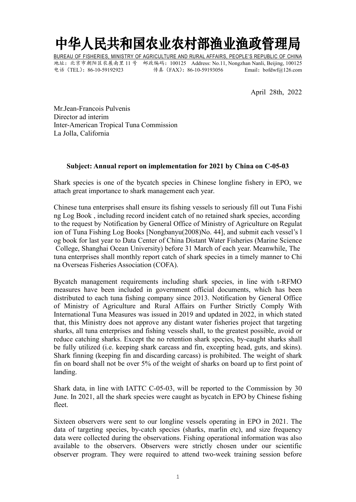## 中华人民共和国农业农村部渔业渔政管理局

BUREAU OF FISHERIES, MINISTRY OF AGRICULTURE AND RURAL AFFAIRS, PEOPLE'S REPUBLIC OF CHINA 地址:北京市朝阳区农展南里 11 号 邮政编码:100125 Address: No.11, Nongzhan Nanli, Beijing, 100125 电话(TEL):86-10-59192923 传真(FAX):86-10-59193056 Email:bofdwf@126.com

April 28th, 2022

Mr.Jean-Francois Pulvenis Director ad interim Inter-American Tropical Tuna Commission La Jolla, California

### **Subject: Annual report on implementation for 2021 by China on C-05-03**

Shark species is one of the bycatch species in Chinese longline fishery in EPO, we attach great importance to shark management each year.

Chinese tuna enterprises shall ensure its fishing vessels to seriously fill out Tuna Fishi ng Log Book , including record incident catch of no retained shark species, according to the request by Notification by General Office of Ministry of Agriculture on Regulat ion of Tuna Fishing Log Books [Nongbanyu(2008)No. 44], and submit each vessel's l og book for last year to Data Center of China DistantWater Fisheries (Marine Science College, Shanghai Ocean University) before 31 March of each year. Meanwhile, The tuna enterprises shall monthly report catch of shark species in a timely manner to Chi na Overseas Fisheries Association (COFA).

Bycatch management requirements including shark species, in line with t-RFMO measures have been included in government official documents, which has been distributed to each tuna fishing company since 2013. Notification by General Office of Ministry of Agriculture and Rural Affairs on Further Strictly Comply With International Tuna Measures was issued in 2019 and updated in 2022, in which stated that, this Ministry does not approve any distant water fisheries project that targeting sharks, all tuna enterprises and fishing vessels shall, to the greatest possible, avoid or reduce catching sharks. Except the no retention shark species, by-caught sharks shall be fully utilized (i.e. keeping shark carcass and fin, excepting head, guts, and skins). Shark finning (keeping fin and discarding carcass) is prohibited. The weight of shark fin on board shall not be over  $5\%$  of the weight of sharks on board up to first point of landing.

Shark data, in line with IATTC C-05-03, will be reported to the Commission by 30 June. In 2021, all the shark species were caught as bycatch in EPO by Chinese fishing fleet.

Sixteen observers were sent to our longline vessels operating in EPO in 2021. The data of targeting species, by-catch species (sharks, marlin etc), and size frequency data were collected during the observations. Fishing operational information was also available to the observers. Observers were strictly chosen under our scientific observer program. They were required to attend two-week training session before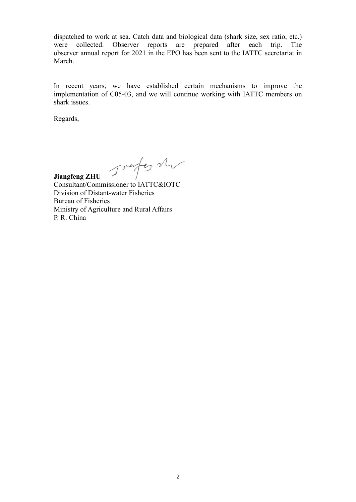dispatched to work at sea. Catch data and biological data (shark size, sex ratio, etc.) were collected. Observer reports are prepared after each trip. The observer annual report for 2021 in the EPO has been sent to the IATTC secretariat in March.

In recent years, we have established certain mechanisms to improve the implementation of C05-03, and we will continue working with IATTC members on shark issues.

Regards,

**Jiangfeng ZHU**

Consultant/Commissioner to IATTC&IOTC Division of Distant-water Fisheries Bureau of Fisheries Ministry of Agriculture and Rural Affairs P. R. China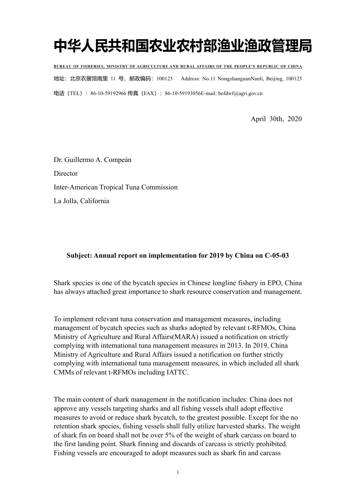# **中华人民共和国农业农村部渔业渔政管理局**

**BUREAU OF FISHERIES, MINISTRY OF AGRICULTURE AND RURAL AFFAIRS OF THE PEOPLE'S REPUBLIC OF CHINA** 地址:北京农展馆南里 11 号,邮政编码:100125 Address: No.11 NongzhanguanNanli, Beijing, 100125 电话(TEL): 86-10-59192966 传真(FAX): 86-10-59193056E-mail: bofdwf@agri.gov.cn

April 30th, 2020

Dr. Guillermo A. Compeán **Director** Inter-American Tropical Tuna Commission La Jolla, California

### **Subject: Annual report on implementation for 2019 by China on C-05-03**

Shark species is one of the bycatch species in Chinese longline fishery in EPO, China has always attached great importance to shark resource conservation and management.

To implement relevant tuna conservation and management measures, including management of bycatch species such as sharks adopted by relevant t-RFMOs, China Ministry of Agriculture and Rural Affairs(MARA) issued a notification on strictly complying with international tuna management measures in 2013. In 2019, China Ministry of Agriculture and Rural Affairs issued a notification on further strictly complying with international tuna management measures, in which included all shark CMMs of relevant t-RFMOs including IATTC.

The main content of shark management in the notification includes: China does not approve any vessels targeting sharks and all fishing vessels shall adopt effective measures to avoid or reduce shark bycatch, to the greatest possible. Except for the no retention shark species, fishing vessels shall fully utilize harvested sharks. The weight of shark fin on board shall not be over 5% of the weight of shark carcass on board to the first landing point. Shark finning and discards of carcass is strictly prohibited. Fishing vessels are encouraged to adopt measures such as shark fin and carcass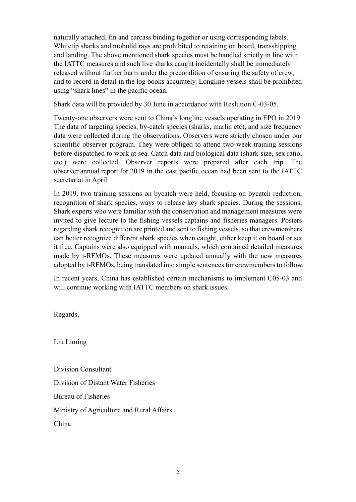naturally attached, fin and carcass binding together or using corresponding labels. Whitetip sharks and mobulid rays are prohibited to retaining on board, transshipping and landing. The above mentioned shark species must be handled strictly in line with the IATTC measures and such live sharks caught incidentally shall be immediately released without further harm under the precondition of ensuring the safety of crew, and to record in detail in the log books accurately. Longline vessels shall be prohibited using "shark lines" in the pacific ocean.

Shark data will be provided by 30 June in accordance with Reslution C-03-05.

Twenty-one observers were sent to China's longline vessels operating in EPO in 2019. The data of targeting species, by-catch species (sharks, marlin etc), and size frequency data were collected during the observations. Observers were strictly chosen under our scientific observer program. They were obliged to attend two-week training sessions before dispatched to work at sea. Catch data and biological data (shark size, sex ratio, etc.) were collected. Observer reports were prepared after each trip. The observer annual report for 2019 in the east pacific ocean had been sent to the IATTC secretariat in April.

In 2019, two training sessions on bycatch were held, focusing on bycatch reduction, recognition of shark species, ways to release key shark species. During the sessions, Shark experts who were [familiar](javascript:void(0);) [with](javascript:void(0);) the conservation and management measures were invited to give lecture to the fishing vessels captains and fisheries managers. Posters regarding shark recognition are printed and sent to fishing vessels, so that crewmembers can better recognize different shark species when caught, either keep it on board or set it free. Captains were also equipped with manuals, which contained detailed measures made by t-RFMOs. These measures were updated annually with the new measures adopted by t-RFMOs, being translated into simple sentences for crewmembers to follow.

In recent years, China has established certain mechanisms to implement C05-03 and will continue working with IATTC members on shark issues.

Regards,

Liu Liming

Division Consultant Division of Distant Water Fisheries Bureau of Fisheries Ministry of Agriculture and Rural Affairs China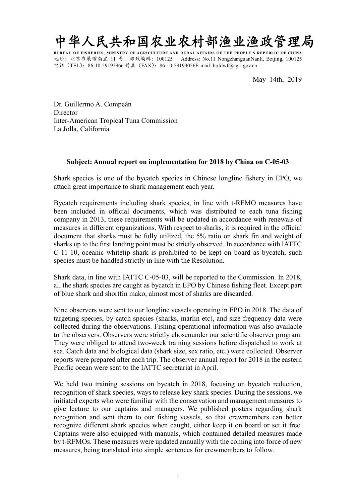

**BUREAU OF FISHERIES, MINISTRY OF AGRICULTURE AND RURAL AFFAIRS OF THE PEOPLE'S REPUBLIC OF CHINA** 地址:北京农展馆南里 11 号,邮政编码:100125 Address: No.11 NongzhanguanNanli, Beijing, 100125 电话 (TEL): 86-10-59192966 传真 (FAX): 86-10-59193056E-mail: bofdwf@agri.gov.cn

May 14th, 2019

Dr. Guillermo A. Compeán **Director** Inter-American Tropical Tuna Commission La Jolla, California

### **Subject: Annual report on implementation for 2018 by China on C-05-03**

Shark species is one of the bycatch species in Chinese longline fishery in EPO, we attach great importance to shark management each year.

Bycatch requirements including shark species, in line with t-RFMO measures have been included in official documents, which was distributed to each tuna fishing company in 2013, these requirements will be updated in accordance with renewals of measures in different organizations. With respect to sharks, it is required in the official document that sharks must be fully utilized, the 5% ratio on shark fin and weight of sharks up to the first landing point must be strictly observed. In accordance with IATTC C-11-10, oceanic whitetip shark is prohibited to be kept on board as bycatch, such species must be handled strictly in line with the Resolution.

Shark data, in line with IATTC C-05-03, will be reported to the Commission. In 2018, all the shark species are caught as bycatch in EPO by Chinese fishing fleet. Except part of blue shark and shortfin mako, almost most of sharks are discarded.

Nine observers were sent to our longline vessels operating in EPO in 2018. The data of targeting species, by-catch species (sharks, marlin etc), and size frequency data were collected during the observations. Fishing operational information was also available to the observers. Observers were strictly chosenunder our scientific observer program. They were obliged to attend two-week training sessions before dispatched to work at sea. Catch data and biological data (shark size, sex ratio, etc.) were collected. Observer reports were prepared after each trip. The observer annual report for 2018 in the eastern Pacific ocean were sent to the IATTC secretariat in April.

We held two training sessions on bycatch in 2018, focusing on bycatch reduction, recognition of shark species, ways to release key shark species. During the sessions, we initiated experts who were [familiar](javascript:void(0);) [with](javascript:void(0);) the conservation and management measures to give lecture to our captains and managers. We published posters regarding shark recognition and sent them to our fishing vessels, so that crewmembers can better recognize different shark species when caught, either keep it on board or set it free. Captains were also equipped with manuals, which contained detailed measures made by t-RFMOs. These measures were updated annually with the coming into force of new measures, being translated into simple sentences for crewmembers to follow.